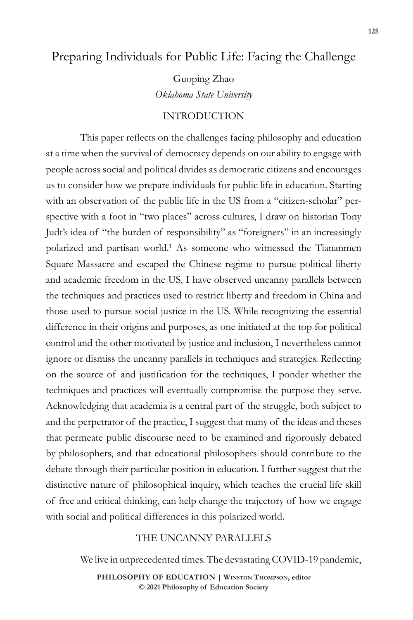## Preparing Individuals for Public Life: Facing the Challenge

Guoping Zhao *Oklahoma State University* 

### INTRODUCTION

This paper reflects on the challenges facing philosophy and education at a time when the survival of democracy depends on our ability to engage with people across social and political divides as democratic citizens and encourages us to consider how we prepare individuals for public life in education. Starting with an observation of the public life in the US from a "citizen-scholar" perspective with a foot in "two places" across cultures, I draw on historian Tony Judt's idea of "the burden of responsibility" as "foreigners" in an increasingly polarized and partisan world.<sup>1</sup> As someone who witnessed the Tiananmen Square Massacre and escaped the Chinese regime to pursue political liberty and academic freedom in the US, I have observed uncanny parallels between the techniques and practices used to restrict liberty and freedom in China and those used to pursue social justice in the US. While recognizing the essential difference in their origins and purposes, as one initiated at the top for political control and the other motivated by justice and inclusion, I nevertheless cannot ignore or dismiss the uncanny parallels in techniques and strategies. Reflecting on the source of and justification for the techniques, I ponder whether the techniques and practices will eventually compromise the purpose they serve. Acknowledging that academia is a central part of the struggle, both subject to and the perpetrator of the practice, I suggest that many of the ideas and theses that permeate public discourse need to be examined and rigorously debated by philosophers, and that educational philosophers should contribute to the debate through their particular position in education. I further suggest that the distinctive nature of philosophical inquiry, which teaches the crucial life skill of free and critical thinking, can help change the trajectory of how we engage with social and political differences in this polarized world.

### THE UNCANNY PARALLELS

We live in unprecedented times. The devastating COVID-19 pandemic,

**PHILOSOPHY OF EDUCATION | Winston Thompson, editor © 2021 Philosophy of Education Society**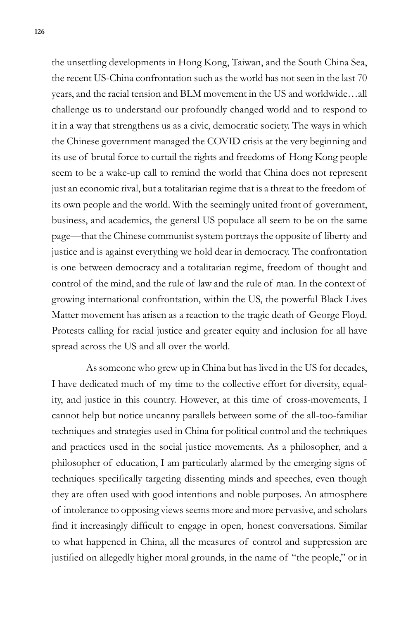the unsettling developments in Hong Kong, Taiwan, and the South China Sea, the recent US-China confrontation such as the world has not seen in the last 70 years, and the racial tension and BLM movement in the US and worldwide…all challenge us to understand our profoundly changed world and to respond to it in a way that strengthens us as a civic, democratic society. The ways in which the Chinese government managed the COVID crisis at the very beginning and its use of brutal force to curtail the rights and freedoms of Hong Kong people seem to be a wake-up call to remind the world that China does not represent just an economic rival, but a totalitarian regime that is a threat to the freedom of its own people and the world. With the seemingly united front of government, business, and academics, the general US populace all seem to be on the same page—that the Chinese communist system portrays the opposite of liberty and justice and is against everything we hold dear in democracy. The confrontation is one between democracy and a totalitarian regime, freedom of thought and control of the mind, and the rule of law and the rule of man. In the context of growing international confrontation, within the US, the powerful Black Lives Matter movement has arisen as a reaction to the tragic death of George Floyd. Protests calling for racial justice and greater equity and inclusion for all have spread across the US and all over the world.

As someone who grew up in China but has lived in the US for decades, I have dedicated much of my time to the collective effort for diversity, equality, and justice in this country. However, at this time of cross-movements, I cannot help but notice uncanny parallels between some of the all-too-familiar techniques and strategies used in China for political control and the techniques and practices used in the social justice movements. As a philosopher, and a philosopher of education, I am particularly alarmed by the emerging signs of techniques specifically targeting dissenting minds and speeches, even though they are often used with good intentions and noble purposes. An atmosphere of intolerance to opposing views seems more and more pervasive, and scholars find it increasingly difficult to engage in open, honest conversations. Similar to what happened in China, all the measures of control and suppression are justified on allegedly higher moral grounds, in the name of "the people," or in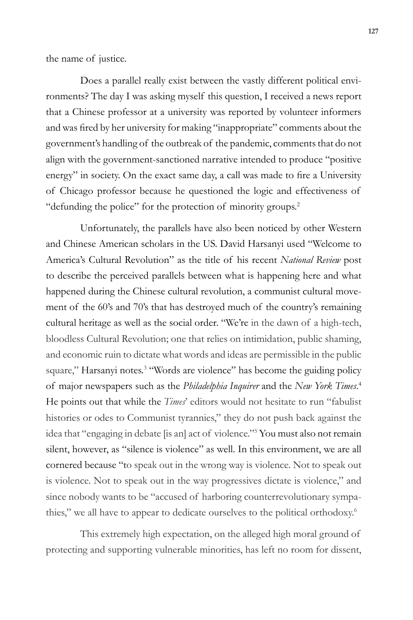the name of justice.

Does a parallel really exist between the vastly different political environments? The day I was asking myself this question, I received a news report that a Chinese professor at a university was reported by volunteer informers and was fired by her university for making "inappropriate" comments about the government's handling of the outbreak of the pandemic, comments that do not align with the government-sanctioned narrative intended to produce "positive energy" in society. On the exact same day, a call was made to fire a University of Chicago professor because he questioned the logic and effectiveness of "defunding the police" for the protection of minority groups.<sup>2</sup>

Unfortunately, the parallels have also been noticed by other Western and Chinese American scholars in the US. David Harsanyi used "Welcome to America's Cultural Revolution" as the title of his recent *National Review* post to describe the perceived parallels between what is happening here and what happened during the Chinese cultural revolution, a communist cultural movement of the 60's and 70's that has destroyed much of the country's remaining cultural heritage as well as the social order. "We're in the dawn of a high-tech, bloodless Cultural Revolution; one that relies on intimidation, public shaming, and economic ruin to dictate what words and ideas are permissible in the public square," Harsanyi notes.<sup>3</sup> "Words are violence" has become the guiding policy of major newspapers such as the *Philadelphia Inquirer* and the *New York Times*. 4 He points out that while the *Times*' editors would not hesitate to run "fabulist histories or odes to Communist tyrannies," they do not push back against the idea that "engaging in debate [is an] act of violence."5 You must also not remain silent, however, as "silence is violence" as well. In this environment, we are all cornered because "to speak out in the wrong way is violence. Not to speak out is violence. Not to speak out in the way progressives dictate is violence," and since nobody wants to be "accused of harboring counterrevolutionary sympathies," we all have to appear to dedicate ourselves to the political orthodoxy.<sup>6</sup>

This extremely high expectation, on the alleged high moral ground of protecting and supporting vulnerable minorities, has left no room for dissent,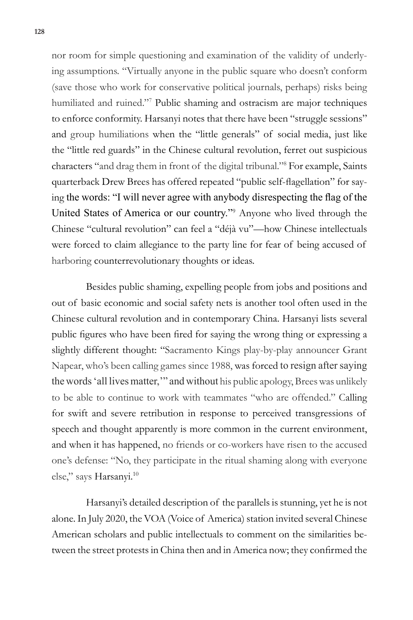nor room for simple questioning and examination of the validity of underlying assumptions. "Virtually anyone in the public square who doesn't conform (save those who work for conservative political journals, perhaps) risks being humiliated and ruined."<sup>7</sup> Public shaming and ostracism are major techniques to enforce conformity. Harsanyi notes that there have been "struggle sessions" and group humiliations when the "little generals" of social media, just like the "little red guards" in the Chinese cultural revolution, ferret out suspicious characters "and drag them in front of the digital tribunal."8 For example, Saints quarterback Drew Brees has offered repeated "public self-flagellation" for saying the words: "I will never agree with anybody disrespecting the flag of the United States of America or our country."<sup>9</sup> Anyone who lived through the Chinese "cultural revolution" can feel a "déjà vu"—how Chinese intellectuals were forced to claim allegiance to the party line for fear of being accused of harboring counterrevolutionary thoughts or ideas.

Besides public shaming, expelling people from jobs and positions and out of basic economic and social safety nets is another tool often used in the Chinese cultural revolution and in contemporary China. Harsanyi lists several public figures who have been fired for saying the wrong thing or expressing a slightly different thought: "Sacramento Kings play-by-play announcer Grant Napear, who's been calling games since 1988, was forced to resign after saying the words 'all lives matter,'" and without his public apology, Brees was unlikely to be able to continue to work with teammates "who are offended." Calling for swift and severe retribution in response to perceived transgressions of speech and thought apparently is more common in the current environment, and when it has happened, no friends or co-workers have risen to the accused one's defense: "No, they participate in the ritual shaming along with everyone else," says Harsanyi.<sup>10</sup>

Harsanyi's detailed description of the parallels is stunning, yet he is not alone. In July 2020, the VOA (Voice of America) station invited several Chinese American scholars and public intellectuals to comment on the similarities between the street protests in China then and in America now; they confirmed the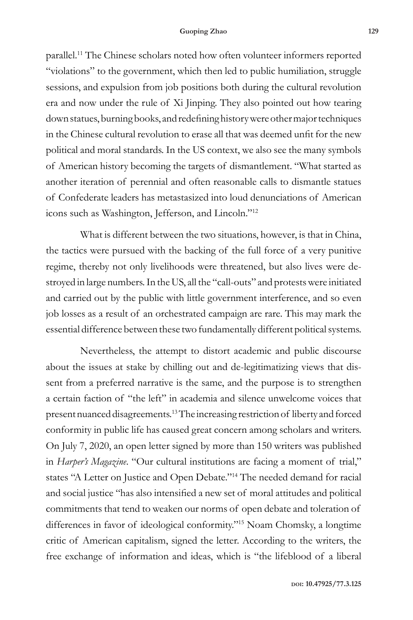parallel.11 The Chinese scholars noted how often volunteer informers reported "violations" to the government, which then led to public humiliation, struggle sessions, and expulsion from job positions both during the cultural revolution era and now under the rule of Xi Jinping. They also pointed out how tearing down statues, burning books, and redefining history were other major techniques in the Chinese cultural revolution to erase all that was deemed unfit for the new political and moral standards. In the US context, we also see the many symbols of American history becoming the targets of dismantlement. "What started as another iteration of perennial and often reasonable calls to dismantle statues of Confederate leaders has metastasized into loud denunciations of American icons such as Washington, Jefferson, and Lincoln."12

What is different between the two situations, however, is that in China, the tactics were pursued with the backing of the full force of a very punitive regime, thereby not only livelihoods were threatened, but also lives were destroyed in large numbers. In the US, all the "call-outs" and protests were initiated and carried out by the public with little government interference, and so even job losses as a result of an orchestrated campaign are rare. This may mark the essential difference between these two fundamentally different political systems.

Nevertheless, the attempt to distort academic and public discourse about the issues at stake by chilling out and de-legitimatizing views that dissent from a preferred narrative is the same, and the purpose is to strengthen a certain faction of "the left" in academia and silence unwelcome voices that present nuanced disagreements.13 The increasing restriction of liberty and forced conformity in public life has caused great concern among scholars and writers. On July 7, 2020, an open letter signed by more than 150 writers was published in *Harper's Magazine*. "Our cultural institutions are facing a moment of trial," states "A Letter on Justice and Open Debate."14 The needed demand for racial and social justice "has also intensified a new set of moral attitudes and political commitments that tend to weaken our norms of open debate and toleration of differences in favor of ideological conformity."<sup>15</sup> Noam Chomsky, a longtime critic of American capitalism, signed the letter. According to the writers, the free exchange of information and ideas, which is "the lifeblood of a liberal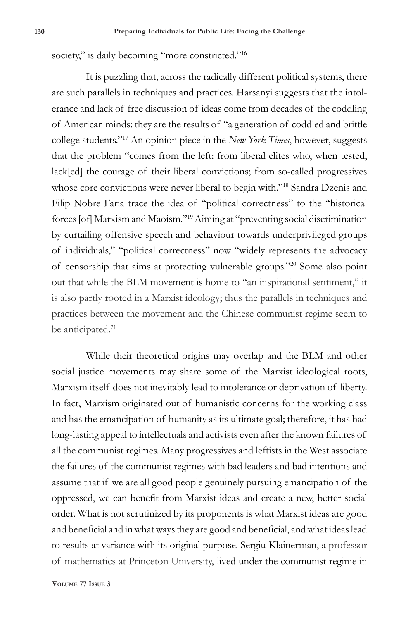society," is daily becoming "more constricted."<sup>16</sup>

It is puzzling that, across the radically different political systems, there are such parallels in techniques and practices. Harsanyi suggests that the intolerance and lack of free discussion of ideas come from decades of the coddling of American minds: they are the results of "a generation of coddled and brittle college students."17 An opinion piece in the *New York Times*, however, suggests that the problem "comes from the left: from liberal elites who, when tested, lack[ed] the courage of their liberal convictions; from so-called progressives whose core convictions were never liberal to begin with."<sup>18</sup> Sandra Dzenis and Filip Nobre Faria trace the idea of "political correctness" to the "historical forces [of] Marxism and Maoism."19 Aiming at "preventing social discrimination by curtailing offensive speech and behaviour towards underprivileged groups of individuals," "political correctness" now "widely represents the advocacy of censorship that aims at protecting vulnerable groups."20 Some also point out that while the BLM movement is home to "an inspirational sentiment," it is also partly rooted in a Marxist ideology; thus the parallels in techniques and practices between the movement and the Chinese communist regime seem to be anticipated.<sup>21</sup>

While their theoretical origins may overlap and the BLM and other social justice movements may share some of the Marxist ideological roots, Marxism itself does not inevitably lead to intolerance or deprivation of liberty. In fact, Marxism originated out of humanistic concerns for the working class and has the emancipation of humanity as its ultimate goal; therefore, it has had long-lasting appeal to intellectuals and activists even after the known failures of all the communist regimes. Many progressives and leftists in the West associate the failures of the communist regimes with bad leaders and bad intentions and assume that if we are all good people genuinely pursuing emancipation of the oppressed, we can benefit from Marxist ideas and create a new, better social order. What is not scrutinized by its proponents is what Marxist ideas are good and beneficial and in what ways they are good and beneficial, and what ideas lead to results at variance with its original purpose. Sergiu Klainerman, a professor of mathematics at Princeton University, lived under the communist regime in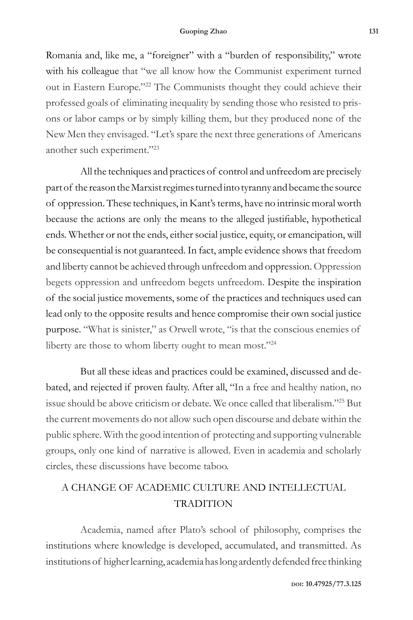Romania and, like me, a "foreigner" with a "burden of responsibility," wrote with his colleague that "we all know how the Communist experiment turned out in Eastern Europe."22 The Communists thought they could achieve their professed goals of eliminating inequality by sending those who resisted to prisons or labor camps or by simply killing them, but they produced none of the New Men they envisaged. "Let's spare the next three generations of Americans another such experiment."23

All the techniques and practices of control and unfreedom are precisely part of the reason the Marxist regimes turned into tyranny and became the source of oppression. These techniques, in Kant's terms, have no intrinsic moral worth because the actions are only the means to the alleged justifiable, hypothetical ends. Whether or not the ends, either social justice, equity, or emancipation, will be consequential is not guaranteed. In fact, ample evidence shows that freedom and liberty cannot be achieved through unfreedom and oppression. Oppression begets oppression and unfreedom begets unfreedom. Despite the inspiration of the social justice movements, some of the practices and techniques used can lead only to the opposite results and hence compromise their own social justice purpose. "What is sinister," as Orwell wrote, "is that the conscious enemies of liberty are those to whom liberty ought to mean most."<sup>24</sup>

But all these ideas and practices could be examined, discussed and debated, and rejected if proven faulty. After all, "In a free and healthy nation, no issue should be above criticism or debate. We once called that liberalism."25 But the current movements do not allow such open discourse and debate within the public sphere. With the good intention of protecting and supporting vulnerable groups, only one kind of narrative is allowed. Even in academia and scholarly circles, these discussions have become taboo.

# A CHANGE OF ACADEMIC CULTURE AND INTELLECTUAL TRADITION

Academia, named after Plato's school of philosophy, comprises the institutions where knowledge is developed, accumulated, and transmitted. As institutions of higher learning, academia has long ardently defended free thinking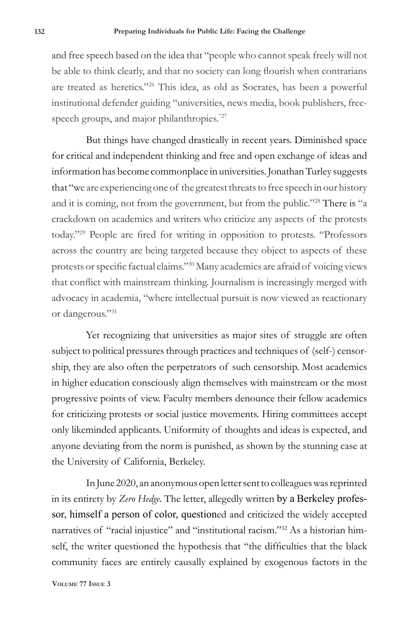and free speech based on the idea that "people who cannot speak freely will not be able to think clearly, and that no society can long flourish when contrarians are treated as heretics."26 This idea, as old as Socrates, has been a powerful institutional defender guiding "universities, news media, book publishers, freespeech groups, and major philanthropies."<sup>27</sup>

But things have changed drastically in recent years. Diminished space for critical and independent thinking and free and open exchange of ideas and information has become commonplace in universities. Jonathan Turley suggests that "we are experiencing one of the greatest threats to free speech in our history and it is coming, not from the government, but from the public."28 There is "a crackdown on academics and writers who criticize any aspects of the protests today."<sup>29</sup> People are fired for writing in opposition to protests. "Professors across the country are being targeted because they object to aspects of these protests or specific factual claims."<sup>30</sup> Many academics are afraid of voicing views that conflict with mainstream thinking. Journalism is increasingly merged with advocacy in academia, "where intellectual pursuit is now viewed as reactionary or dangerous."31

Yet recognizing that universities as major sites of struggle are often subject to political pressures through practices and techniques of (self-) censorship, they are also often the perpetrators of such censorship. Most academics in higher education consciously align themselves with mainstream or the most progressive points of view. Faculty members denounce their fellow academics for criticizing protests or social justice movements. Hiring committees accept only likeminded applicants. Uniformity of thoughts and ideas is expected, and anyone deviating from the norm is punished, as shown by the stunning case at the University of California, Berkeley.

In June 2020, an anonymous open letter sent to colleagues was reprinted in its entirety by *Zero Hedge*. The letter, allegedly written by a Berkeley professor, himself a person of color, questioned and criticized the widely accepted narratives of "racial injustice" and "institutional racism."32 As a historian himself, the writer questioned the hypothesis that "the difficulties that the black community faces are entirely causally explained by exogenous factors in the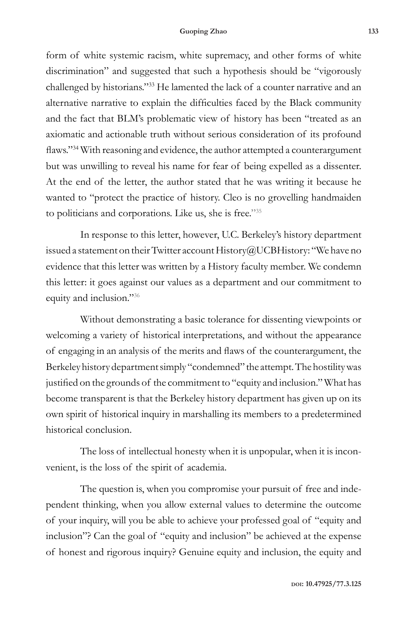form of white systemic racism, white supremacy, and other forms of white discrimination" and suggested that such a hypothesis should be "vigorously challenged by historians."33 He lamented the lack of a counter narrative and an alternative narrative to explain the difficulties faced by the Black community and the fact that BLM's problematic view of history has been "treated as an axiomatic and actionable truth without serious consideration of its profound flaws."<sup>34</sup> With reasoning and evidence, the author attempted a counterargument but was unwilling to reveal his name for fear of being expelled as a dissenter. At the end of the letter, the author stated that he was writing it because he wanted to "protect the practice of history. Cleo is no grovelling handmaiden to politicians and corporations. Like us, she is free."35

In response to this letter, however, U.C. Berkeley's history department issued a statement on their Twitter account History@UCBHistory: "We have no evidence that this letter was written by a History faculty member. We condemn this letter: it goes against our values as a department and our commitment to equity and inclusion."<sup>36</sup>

Without demonstrating a basic tolerance for dissenting viewpoints or welcoming a variety of historical interpretations, and without the appearance of engaging in an analysis of the merits and flaws of the counterargument, the Berkeley history department simply "condemned" the attempt. The hostility was justified on the grounds of the commitment to "equity and inclusion." What has become transparent is that the Berkeley history department has given up on its own spirit of historical inquiry in marshalling its members to a predetermined historical conclusion.

The loss of intellectual honesty when it is unpopular, when it is inconvenient, is the loss of the spirit of academia.

The question is, when you compromise your pursuit of free and independent thinking, when you allow external values to determine the outcome of your inquiry, will you be able to achieve your professed goal of "equity and inclusion"? Can the goal of "equity and inclusion" be achieved at the expense of honest and rigorous inquiry? Genuine equity and inclusion, the equity and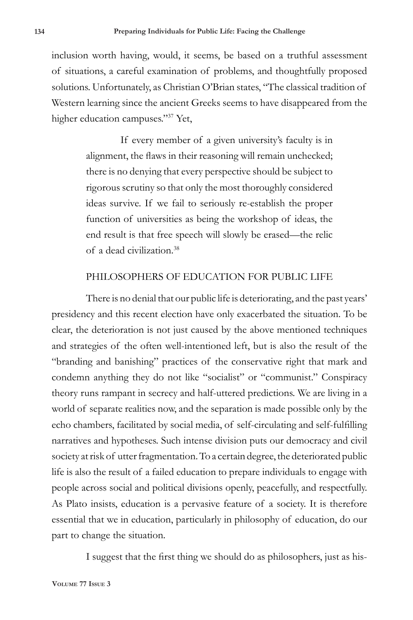inclusion worth having, would, it seems, be based on a truthful assessment of situations, a careful examination of problems, and thoughtfully proposed solutions. Unfortunately, as Christian O'Brian states, "The classical tradition of Western learning since the ancient Greeks seems to have disappeared from the higher education campuses."37 Yet,

> If every member of a given university's faculty is in alignment, the flaws in their reasoning will remain unchecked; there is no denying that every perspective should be subject to rigorous scrutiny so that only the most thoroughly considered ideas survive. If we fail to seriously re-establish the proper function of universities as being the workshop of ideas, the end result is that free speech will slowly be erased—the relic of a dead civilization.38

#### PHILOSOPHERS OF EDUCATION FOR PUBLIC LIFE

There is no denial that our public life is deteriorating, and the past years' presidency and this recent election have only exacerbated the situation. To be clear, the deterioration is not just caused by the above mentioned techniques and strategies of the often well-intentioned left, but is also the result of the "branding and banishing" practices of the conservative right that mark and condemn anything they do not like "socialist" or "communist." Conspiracy theory runs rampant in secrecy and half-uttered predictions. We are living in a world of separate realities now, and the separation is made possible only by the echo chambers, facilitated by social media, of self-circulating and self-fulfilling narratives and hypotheses. Such intense division puts our democracy and civil society at risk of utter fragmentation. To a certain degree, the deteriorated public life is also the result of a failed education to prepare individuals to engage with people across social and political divisions openly, peacefully, and respectfully. As Plato insists, education is a pervasive feature of a society. It is therefore essential that we in education, particularly in philosophy of education, do our part to change the situation.

I suggest that the first thing we should do as philosophers, just as his-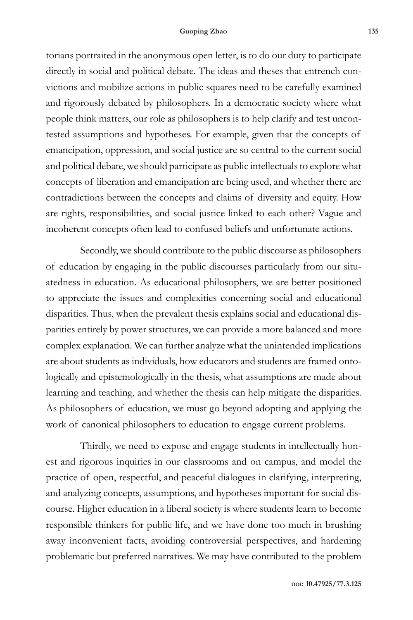torians portraited in the anonymous open letter, is to do our duty to participate directly in social and political debate. The ideas and theses that entrench convictions and mobilize actions in public squares need to be carefully examined and rigorously debated by philosophers. In a democratic society where what people think matters, our role as philosophers is to help clarify and test uncontested assumptions and hypotheses. For example, given that the concepts of emancipation, oppression, and social justice are so central to the current social and political debate, we should participate as public intellectuals to explore what concepts of liberation and emancipation are being used, and whether there are contradictions between the concepts and claims of diversity and equity. How are rights, responsibilities, and social justice linked to each other? Vague and incoherent concepts often lead to confused beliefs and unfortunate actions.

Secondly, we should contribute to the public discourse as philosophers of education by engaging in the public discourses particularly from our situatedness in education. As educational philosophers, we are better positioned to appreciate the issues and complexities concerning social and educational disparities. Thus, when the prevalent thesis explains social and educational disparities entirely by power structures, we can provide a more balanced and more complex explanation. We can further analyze what the unintended implications are about students as individuals, how educators and students are framed ontologically and epistemologically in the thesis, what assumptions are made about learning and teaching, and whether the thesis can help mitigate the disparities. As philosophers of education, we must go beyond adopting and applying the work of canonical philosophers to education to engage current problems.

Thirdly, we need to expose and engage students in intellectually honest and rigorous inquiries in our classrooms and on campus, and model the practice of open, respectful, and peaceful dialogues in clarifying, interpreting, and analyzing concepts, assumptions, and hypotheses important for social discourse. Higher education in a liberal society is where students learn to become responsible thinkers for public life, and we have done too much in brushing away inconvenient facts, avoiding controversial perspectives, and hardening problematic but preferred narratives. We may have contributed to the problem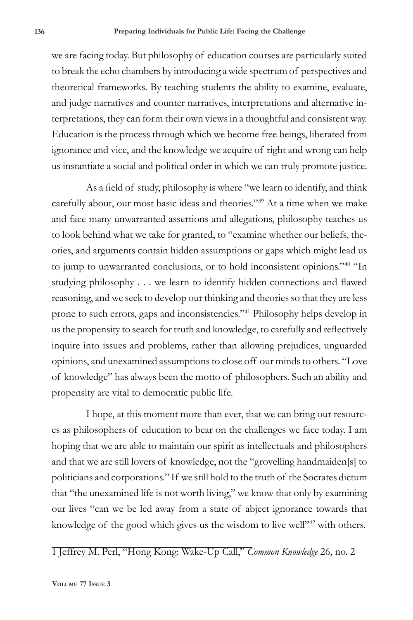we are facing today. But philosophy of education courses are particularly suited to break the echo chambers by introducing a wide spectrum of perspectives and theoretical frameworks. By teaching students the ability to examine, evaluate, and judge narratives and counter narratives, interpretations and alternative interpretations, they can form their own views in a thoughtful and consistent way. Education is the process through which we become free beings, liberated from ignorance and vice, and the knowledge we acquire of right and wrong can help us instantiate a social and political order in which we can truly promote justice.

As a field of study, philosophy is where "we learn to identify, and think carefully about, our most basic ideas and theories."39 At a time when we make and face many unwarranted assertions and allegations, philosophy teaches us to look behind what we take for granted, to "examine whether our beliefs, theories, and arguments contain hidden assumptions or gaps which might lead us to jump to unwarranted conclusions, or to hold inconsistent opinions."40 "In studying philosophy . . . we learn to identify hidden connections and flawed reasoning, and we seek to develop our thinking and theories so that they are less prone to such errors, gaps and inconsistencies."41 Philosophy helps develop in us the propensity to search for truth and knowledge, to carefully and reflectively inquire into issues and problems, rather than allowing prejudices, unguarded opinions, and unexamined assumptions to close off our minds to others. "Love of knowledge" has always been the motto of philosophers. Such an ability and propensity are vital to democratic public life.

I hope, at this moment more than ever, that we can bring our resources as philosophers of education to bear on the challenges we face today. I am hoping that we are able to maintain our spirit as intellectuals and philosophers and that we are still lovers of knowledge, not the "grovelling handmaiden[s] to politicians and corporations." If we still hold to the truth of the Socrates dictum that "the unexamined life is not worth living," we know that only by examining our lives "can we be led away from a state of abject ignorance towards that knowledge of the good which gives us the wisdom to live well"<sup>42</sup> with others.

1 Jeffrey M. Perl, "Hong Kong: Wake-Up Call," *Common Knowledge* 26, no. 2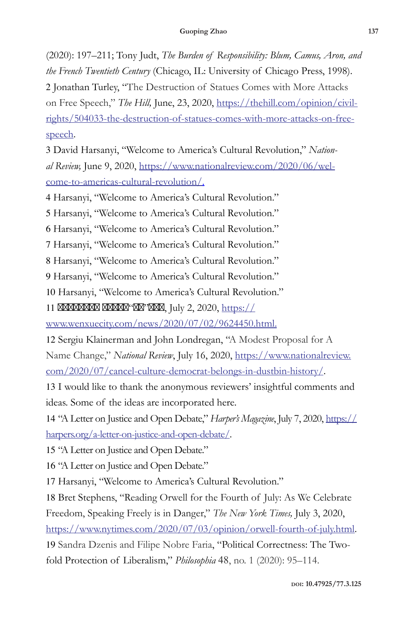(2020): 197–211; Tony Judt, *The Burden of Responsibility: Blum, Camus, Aron, and the French Twentieth Century* (Chicago, IL: University of Chicago Press, 1998). 2 Jonathan Turley, "The Destruction of Statues Comes with More Attacks on Free Speech," *The Hill*, June, 23, 2020, https://thehill.com/opinion/civilrights/504033-the-destruction-of-statues-comes-with-more-attacks-on-freespeech.

3 David Harsanyi, "Welcome to America's Cultural Revolution," *National Review,* June 9, 2020, https://www.nationalreview.com/2020/06/welcome-to-americas-cultural-revolution/.

4 Harsanyi, "Welcome to America's Cultural Revolution."

5 Harsanyi, "Welcome to America's Cultural Revolution."

6 Harsanyi, "Welcome to America's Cultural Revolution."

7 Harsanyi, "Welcome to America's Cultural Revolution."

8 Harsanyi, "Welcome to America's Cultural Revolution."

9 Harsanyi, "Welcome to America's Cultural Revolution."

10 Harsanyi, "Welcome to America's Cultural Revolution."

11  $\frac{a}{2}$ , July 2, 2020, https://

www.wenxuecity.com/news/2020/07/02/9624450.html.

12 Sergiu Klainerman and John Londregan, "A Modest Proposal for A Name Change," *National Review*, July 16, 2020, https://www.nationalreview. com/2020/07/cancel-culture-democrat-belongs-in-dustbin-history/.

13 I would like to thank the anonymous reviewers' insightful comments and ideas. Some of the ideas are incorporated here.

14 "A Letter on Justice and Open Debate," *Harper's Magazine*, July 7, 2020, https:// harpers.org/a-letter-on-justice-and-open-debate/.

15 "A Letter on Justice and Open Debate."

16 "A Letter on Justice and Open Debate."

17 Harsanyi, "Welcome to America's Cultural Revolution."

18 Bret Stephens, "Reading Orwell for the Fourth of July: As We Celebrate Freedom, Speaking Freely is in Danger," *The New York Times,* July 3, 2020,

https://www.nytimes.com/2020/07/03/opinion/orwell-fourth-of-july.html.

19 Sandra Dzenis and Filipe Nobre Faria, "Political Correctness: The Twofold Protection of Liberalism," *Philosophia* 48, no. 1 (2020): 95–114.